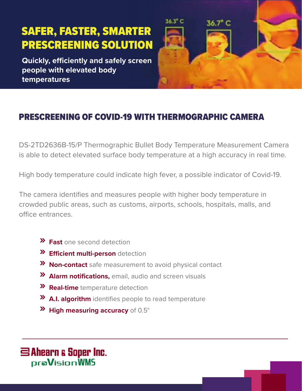# SAFER, FASTER, SMARTER PRESCREENING SOLUTION

**Quickly, efficiently and safely screen people with elevated body temperatures** 



## PRESCREENING OF COVID-19 WITH THERMOGRAPHIC CAMERA

DS-2TD2636B-15/P Thermographic Bullet Body Temperature Measurement Camera is able to detect elevated surface body temperature at a high accuracy in real time.

High body temperature could indicate high fever, a possible indicator of Covid-19.

The camera identifies and measures people with higher body temperature in crowded public areas, such as customs, airports, schools, hospitals, malls, and office entrances.

- **» Fast** one second detection
- **» Efficient multi-person** detection
- **» Non-contact** safe measurement to avoid physical contact
- **» Alarm notifications,** email, audio and screen visuals
- **» Real-time** temperature detection
- **» A.I. algorithm** identifies people to read temperature
- **» High measuring accuracy** of 0.5°

S Ahearn & Soper Inc. praVisionWMS